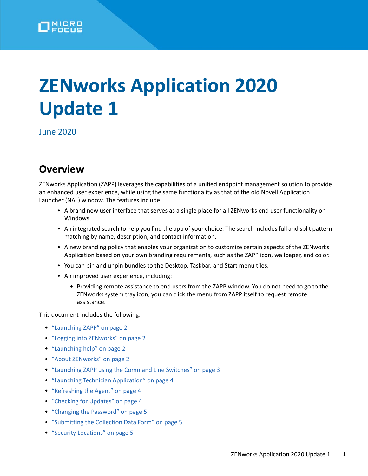

# **ZENworks Application 2020 Update 1**

June 2020

## **Overview**

ZENworks Application (ZAPP) leverages the capabilities of a unified endpoint management solution to provide an enhanced user experience, while using the same functionality as that of the old Novell Application Launcher (NAL) window. The features include:

- A brand new user interface that serves as a single place for all ZENworks end user functionality on Windows.
- An integrated search to help you find the app of your choice. The search includes full and split pattern matching by name, description, and contact information.
- A new branding policy that enables your organization to customize certain aspects of the ZENworks Application based on your own branding requirements, such as the ZAPP icon, wallpaper, and color.
- You can pin and unpin bundles to the Desktop, Taskbar, and Start menu tiles.
- An improved user experience, including:
	- Providing remote assistance to end users from the ZAPP window. You do not need to go to the ZENworks system tray icon, you can click the menu from ZAPP itself to request remote assistance.

This document includes the following:

- ["Launching ZAPP" on page 2](#page-1-0)
- ["Logging into ZENworks" on page 2](#page-1-1)
- ["Launching help" on page 2](#page-1-2)
- ["About ZENworks" on page 2](#page-1-3)
- ["Launching ZAPP using the Command Line Switches" on page 3](#page-2-0)
- ["Launching Technician Application" on page 4](#page-3-0)
- ["Refreshing the Agent" on page 4](#page-3-1)
- ["Checking for Updates" on page 4](#page-3-2)
- ["Changing the Password" on page 5](#page-4-0)
- ["Submitting the Collection Data Form" on page 5](#page-4-1)
- ["Security Locations" on page 5](#page-4-2)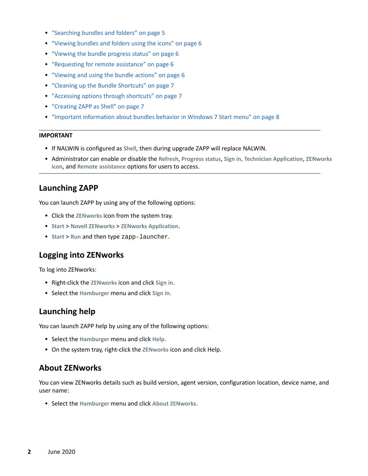- ["Searching bundles and folders" on page 5](#page-4-3)
- ["Viewing bundles and folders using the icons" on page 6](#page-5-0)
- ["Viewing the bundle progress status" on page 6](#page-5-1)
- ["Requesting for remote assistance" on page 6](#page-5-2)
- ["Viewing and using the bundle actions" on page 6](#page-5-3)
- ["Cleaning up the Bundle Shortcuts" on page 7](#page-6-1)
- ["Accessing options through shortcuts" on page 7](#page-6-0)
- ["Creating ZAPP as Shell" on page 7](#page-6-2)
- ["Important information about bundles behavior in Windows 7 Start menu" on page 8](#page-7-0)

#### **IMPORTANT**

- If NALWIN is configured as **Shell**, then during upgrade ZAPP will replace NALWIN.
- Administrator can enable or disable the **Refresh**, **Progress status**, **Sign in, Technician Application**, **ZENworks icon**, and **Remote assistance** options for users to access.

#### <span id="page-1-0"></span>**Launching ZAPP**

You can launch ZAPP by using any of the following options:

- Click the **ZENworks** icon from the system tray.
- **Start** > **Novell ZENworks** > **ZENworks Application**.
- **Start** > **Run** and then type zapp-launcher.

#### <span id="page-1-1"></span>**Logging into ZENworks**

To log into ZENworks:

- Right-click the **ZENworks** icon and click **Sign in**.
- Select the **Hamburger** menu and click **Sign in.**

#### <span id="page-1-2"></span>**Launching help**

You can launch ZAPP help by using any of the following options:

- Select the **Hamburger** menu and click **Help.**
- On the system tray, right-click the **ZENworks** icon and click Help.

#### <span id="page-1-3"></span>**About ZENworks**

You can view ZENworks details such as build version, agent version, configuration location, device name, and user name:

Select the **Hamburger** menu and click **About ZENworks.**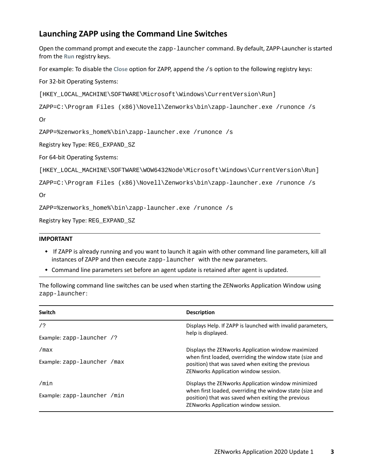#### <span id="page-2-0"></span>**Launching ZAPP using the Command Line Switches**

Open the command prompt and execute the zapp-launcher command. By default, ZAPP-Launcher is started from the **Run** registry keys.

For example: To disable the **Close** option for ZAPP, append the /s option to the following registry keys:

For 32-bit Operating Systems:

```
[HKEY_LOCAL_MACHINE\SOFTWARE\Microsoft\Windows\CurrentVersion\Run]
```

```
ZAPP=C:\Program Files (x86)\Novell\Zenworks\bin\zapp-launcher.exe /runonce /s
```
Or

```
ZAPP=%zenworks_home%\bin\zapp-launcher.exe /runonce /s
```
Registry key Type: REG\_EXPAND\_SZ

For 64-bit Operating Systems:

```
[HKEY_LOCAL_MACHINE\SOFTWARE\WOW6432Node\Microsoft\Windows\CurrentVersion\Run]
```

```
ZAPP=C:\Program Files (x86)\Novell\Zenworks\bin\zapp-launcher.exe /runonce /s
```
Or

```
ZAPP=%zenworks_home%\bin\zapp-launcher.exe /runonce /s
```
Registry key Type: REG\_EXPAND\_SZ

#### **IMPORTANT**

- If ZAPP is already running and you want to launch it again with other command line parameters, kill all instances of ZAPP and then execute zapp-launcher with the new parameters.
- Command line parameters set before an agent update is retained after agent is updated.

The following command line switches can be used when starting the ZENworks Application Window using zapp-launcher:

| <b>Switch</b>                | <b>Description</b>                                                                                                                                     |
|------------------------------|--------------------------------------------------------------------------------------------------------------------------------------------------------|
| $/$ ?                        | Displays Help. If ZAPP is launched with invalid parameters,                                                                                            |
| Example: $zapp-launcher$ /?  | help is displayed.                                                                                                                                     |
| /max                         | Displays the ZENworks Application window maximized                                                                                                     |
| Example: zapp-launcher / max | when first loaded, overriding the window state (size and<br>position) that was saved when exiting the previous                                         |
|                              | ZEN works Application window session.                                                                                                                  |
| /min                         | Displays the ZENworks Application window minimized                                                                                                     |
| Example: zapp-launcher /min  | when first loaded, overriding the window state (size and<br>position) that was saved when exiting the previous<br>ZENworks Application window session. |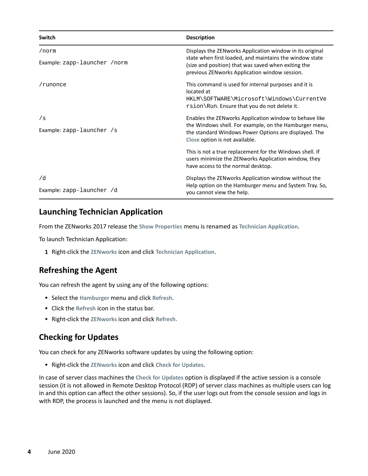| Switch                       | <b>Description</b>                                                                                                                                              |
|------------------------------|-----------------------------------------------------------------------------------------------------------------------------------------------------------------|
| /norm                        | Displays the ZENworks Application window in its original                                                                                                        |
| Example: zapp-launcher /norm | state when first loaded, and maintains the window state<br>(size and position) that was saved when exiting the<br>previous ZENworks Application window session. |
| /runonce                     | This command is used for internal purposes and it is<br>located at                                                                                              |
|                              | HKLM\SOFTWARE\Microsoft\Windows\CurrentVe<br>rsion\Run. Ensure that you do not delete it.                                                                       |
| /s                           | Enables the ZENworks Application window to behave like<br>the Windows shell. For example, on the Hamburger menu,                                                |
| Example: $zapp-launcher$ /s  | the standard Windows Power Options are displayed. The<br>Close option is not available.                                                                         |
|                              | This is not a true replacement for the Windows shell. If<br>users minimize the ZEN works Application window, they<br>have access to the normal desktop.         |
| /d                           | Displays the ZENworks Application window without the                                                                                                            |
| Example: zapp-launcher /d    | Help option on the Hamburger menu and System Tray. So,<br>you cannot view the help.                                                                             |

#### <span id="page-3-0"></span>**Launching Technician Application**

From the ZENworks 2017 release the **Show Properties** menu is renamed as **Technician Application**.

To launch Technician Application:

**1** Right-click the **ZENworks** icon and click **Technician Application**.

#### <span id="page-3-1"></span>**Refreshing the Agent**

You can refresh the agent by using any of the following options:

- Select the **Hamburger** menu and click **Refresh**.
- Click the **Refresh** icon in the status bar.
- Right-click the **ZENworks** icon and click **Refresh.**

#### <span id="page-3-2"></span>**Checking for Updates**

You can check for any ZENworks software updates by using the following option:

Right-click the **ZENworks** icon and click **Check for Updates**.

In case of server class machines the **Check for Updates** option is displayed if the active session is a console session (it is not allowed in Remote Desktop Protocol (RDP) of server class machines as multiple users can log in and this option can affect the other sessions). So, if the user logs out from the console session and logs in with RDP, the process is launched and the menu is not displayed.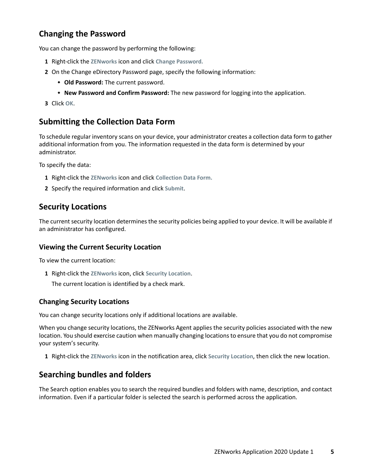#### <span id="page-4-0"></span>**Changing the Password**

You can change the password by performing the following:

- **1** Right-click the **ZENworks** icon and click **Change Password.**
- **2** On the Change eDirectory Password page, specify the following information:
	- **Old Password:** The current password.
	- **New Password and Confirm Password:** The new password for logging into the application.
- **3** Click **OK**.

#### <span id="page-4-1"></span>**Submitting the Collection Data Form**

To schedule regular inventory scans on your device, your administrator creates a collection data form to gather additional information from you. The information requested in the data form is determined by your administrator.

To specify the data:

- **1** Right-click the **ZENworks** icon and click **Collection Data Form.**
- **2** Specify the required information and click **Submit**.

#### <span id="page-4-2"></span>**Security Locations**

The current security location determines the security policies being applied to your device. It will be available if an administrator has configured.

#### **Viewing the Current Security Location**

To view the current location:

**1** Right-click the **ZENworks** icon, click **Security Location**.

The current location is identified by a check mark.

#### **Changing Security Locations**

You can change security locations only if additional locations are available.

When you change security locations, the ZENworks Agent applies the security policies associated with the new location. You should exercise caution when manually changing locations to ensure that you do not compromise your system's security.

**1** Right-click the **ZENworks** icon in the notification area, click **Security Location**, then click the new location.

#### <span id="page-4-3"></span>**Searching bundles and folders**

The Search option enables you to search the required bundles and folders with name, description, and contact information. Even if a particular folder is selected the search is performed across the application.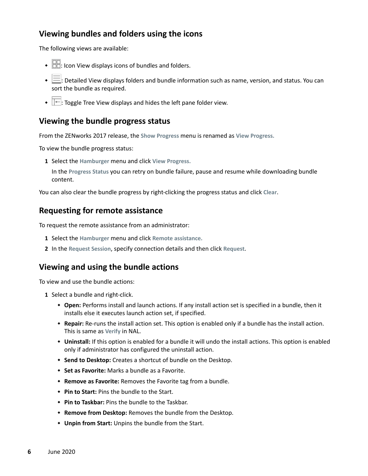#### <span id="page-5-0"></span>**Viewing bundles and folders using the icons**

The following views are available:

- $\cdot$   $\Box$ : Icon View displays icons of bundles and folders.
- $\bullet \equiv$ : Detailed View displays folders and bundle information such as name, version, and status. You can sort the bundle as required.
- $\cdot$   $\overline{\mathbb{H}}$ : Toggle Tree View displays and hides the left pane folder view.

#### <span id="page-5-1"></span>**Viewing the bundle progress status**

From the ZENworks 2017 release, the **Show Progress** menu is renamed as **View Progress.**

To view the bundle progress status:

**1** Select the **Hamburger** menu and click **View Progress.**

In the **Progress Status** you can retry on bundle failure, pause and resume while downloading bundle content.

You can also clear the bundle progress by right-clicking the progress status and click **Clear**.

#### <span id="page-5-2"></span>**Requesting for remote assistance**

To request the remote assistance from an administrator:

- **1** Select the **Hamburger** menu and click **Remote assistance.**
- **2** In the **Request Session**, specify connection details and then click **Request**.

#### <span id="page-5-3"></span>**Viewing and using the bundle actions**

To view and use the bundle actions:

- **1** Select a bundle and right-click.
	- **Open:** Performs install and launch actions. If any install action set is specified in a bundle, then it installs else it executes launch action set, if specified.
	- **Repair:** Re-runs the install action set. This option is enabled only if a bundle has the install action. This is same as **Verify** in NAL.
	- **Uninstall:** If this option is enabled for a bundle it will undo the install actions. This option is enabled only if administrator has configured the uninstall action.
	- **Send to Desktop:** Creates a shortcut of bundle on the Desktop.
	- **Set as Favorite:** Marks a bundle as a Favorite.
	- **Remove as Favorite:** Removes the Favorite tag from a bundle.
	- **Pin to Start:** Pins the bundle to the Start.
	- **Pin to Taskbar:** Pins the bundle to the Taskbar.
	- **Remove from Desktop:** Removes the bundle from the Desktop.
	- **Unpin from Start:** Unpins the bundle from the Start.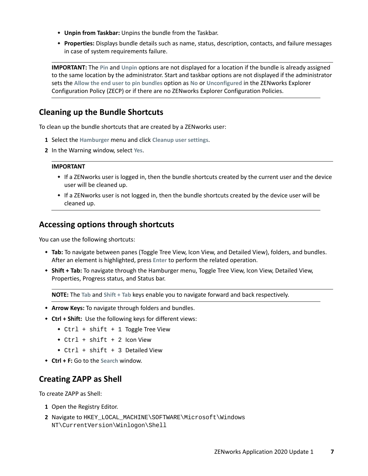- **Unpin from Taskbar:** Unpins the bundle from the Taskbar.
- **Properties:** Displays bundle details such as name, status, description, contacts, and failure messages in case of system requirements failure.

**IMPORTANT:** The **Pin** and **Unpin** options are not displayed for a location if the bundle is already assigned to the same location by the administrator. Start and taskbar options are not displayed if the administrator sets the **Allow the end user to pin bundles** option as **No** or **Unconfigured** in the ZENworks Explorer Configuration Policy (ZECP) or if there are no ZENworks Explorer Configuration Policies.

#### <span id="page-6-1"></span>**Cleaning up the Bundle Shortcuts**

To clean up the bundle shortcuts that are created by a ZENworks user:

- **1** Select the **Hamburger** menu and click **Cleanup user settings**.
- **2** In the Warning window, select **Yes**.

#### **IMPORTANT**

- If a ZENworks user is logged in, then the bundle shortcuts created by the current user and the device user will be cleaned up.
- If a ZENworks user is not logged in, then the bundle shortcuts created by the device user will be cleaned up.

#### <span id="page-6-0"></span>**Accessing options through shortcuts**

You can use the following shortcuts:

- **Tab:** To navigate between panes (Toggle Tree View, Icon View, and Detailed View), folders, and bundles. After an element is highlighted, press **Enter** to perform the related operation.
- **Shift + Tab:** To navigate through the Hamburger menu, Toggle Tree View, Icon View, Detailed View, Properties, Progress status, and Status bar.

**NOTE:** The **Tab** and **Shift + Tab** keys enable you to navigate forward and back respectively.

- **Arrow Keys:** To navigate through folders and bundles.
- **Ctrl + Shift:** Use the following keys for different views:
	- Ctrl + shift + 1 Toggle Tree View
	- $\bullet$  Ctrl + shift + 2 Icon View
	- Ctrl + shift + 3 Detailed View
- **Ctrl + F:** Go to the **Search** window.

#### <span id="page-6-2"></span>**Creating ZAPP as Shell**

To create ZAPP as Shell:

- **1** Open the Registry Editor.
- **2** Navigate to HKEY\_LOCAL\_MACHINE\SOFTWARE\Microsoft\Windows NT\CurrentVersion\Winlogon\Shell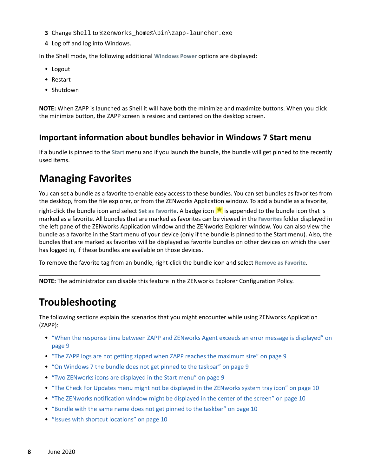- **3** Change Shell to %zenworks\_home%\bin\zapp-launcher.exe
- **4** Log off and log into Windows.

In the Shell mode, the following additional **Windows Power** options are displayed:

- Logout
- Restart
- Shutdown

**NOTE:** When ZAPP is launched as Shell it will have both the minimize and maximize buttons. When you click the minimize button, the ZAPP screen is resized and centered on the desktop screen.

#### <span id="page-7-0"></span>**Important information about bundles behavior in Windows 7 Start menu**

If a bundle is pinned to the **Start** menu and if you launch the bundle, the bundle will get pinned to the recently used items.

# **Managing Favorites**

You can set a bundle as a favorite to enable easy access to these bundles. You can set bundles as favorites from the desktop, from the file explorer, or from the ZENworks Application window. To add a bundle as a favorite,

right-click the bundle icon and select Set as Favorite. A badge icon **in** is appended to the bundle icon that is marked as a favorite. All bundles that are marked as favorites can be viewed in the **Favorites** folder displayed in the left pane of the ZENworks Application window and the ZENworks Explorer window. You can also view the bundle as a favorite in the Start menu of your device (only if the bundle is pinned to the Start menu). Also, the bundles that are marked as favorites will be displayed as favorite bundles on other devices on which the user has logged in, if these bundles are available on those devices.

To remove the favorite tag from an bundle, right-click the bundle icon and select **Remove as Favorite**.

**NOTE:** The administrator can disable this feature in the ZENworks Explorer Configuration Policy.

## **Troubleshooting**

The following sections explain the scenarios that you might encounter while using ZENworks Application (ZAPP):

- ["When the response time between ZAPP and ZENworks Agent exceeds an error message is displayed" on](#page-8-0)  [page 9](#page-8-0)
- ["The ZAPP logs are not getting zipped when ZAPP reaches the maximum size" on page 9](#page-8-1)
- ["On Windows 7 the bundle does not get pinned to the taskbar" on page 9](#page-8-2)
- ["Two ZENworks icons are displayed in the Start menu" on page 9](#page-8-3)
- ["The Check For Updates menu might not be displayed in the ZENworks system tray icon" on page 10](#page-9-0)
- ["The ZENworks notification window might be displayed in the center of the screen" on page 10](#page-9-1)
- ["Bundle with the same name does not get pinned to the taskbar" on page 10](#page-9-2)
- ["Issues with shortcut locations" on page 10](#page-9-3)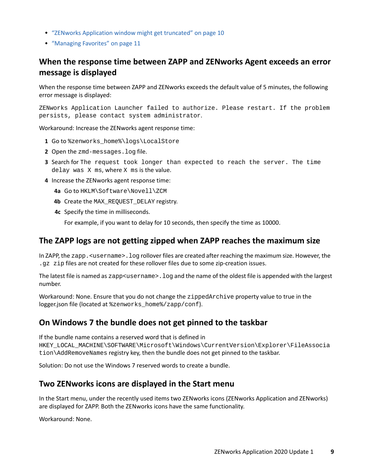- ["ZENworks Application window might get truncated" on page 10](#page-9-4)
- ["Managing Favorites" on page 11](#page-10-0)

## <span id="page-8-0"></span>**When the response time between ZAPP and ZENworks Agent exceeds an error message is displayed**

When the response time between ZAPP and ZENworks exceeds the default value of 5 minutes, the following error message is displayed:

ZENworks Application Launcher failed to authorize. Please restart. If the problem persists, please contact system administrator.

Workaround: Increase the ZENworks agent response time:

- 1 Go to %zenworks\_home%\logs\LocalStore
- **2** Open the zmd-messages.log file.
- **3** Search for The request took longer than expected to reach the server. The time delay was X ms, where X ms is the value.
- **4** Increase the ZENworks agent response time:
	- **4a** Go to HKLM\Software\Novell\ZCM
	- **4b** Create the MAX\_REQUEST\_DELAY registry.
	- **4c** Specify the time in milliseconds.

For example, if you want to delay for 10 seconds, then specify the time as 10000.

#### <span id="page-8-1"></span>**The ZAPP logs are not getting zipped when ZAPP reaches the maximum size**

In ZAPP, the zapp. <username>. log rollover files are created after reaching the maximum size. However, the .gz zip files are not created for these rollover files due to some zip-creation issues.

The latest file is named as zapp<username>.log and the name of the oldest file is appended with the largest number.

Workaround: None. Ensure that you do not change the zippedArchive property value to true in the logger.json file (located at %zenworks\_home%/zapp/conf).

#### <span id="page-8-2"></span>**On Windows 7 the bundle does not get pinned to the taskbar**

If the bundle name contains a reserved word that is defined in HKEY\_LOCAL\_MACHINE\SOFTWARE\Microsoft\Windows\CurrentVersion\Explorer\FileAssocia tion\AddRemoveNames registry key, then the bundle does not get pinned to the taskbar.

Solution: Do not use the Windows 7 reserved words to create a bundle.

#### <span id="page-8-3"></span>**Two ZENworks icons are displayed in the Start menu**

In the Start menu, under the recently used items two ZENworks icons (ZENworks Application and ZENworks) are displayed for ZAPP. Both the ZENworks icons have the same functionality.

Workaround: None.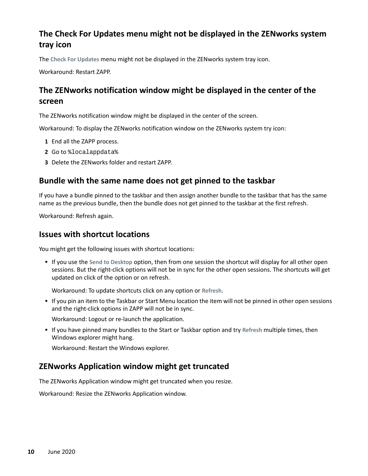## <span id="page-9-0"></span>**The Check For Updates menu might not be displayed in the ZENworks system tray icon**

The **Check For Updates** menu might not be displayed in the ZENworks system tray icon.

Workaround: Restart ZAPP.

## <span id="page-9-1"></span>**The ZENworks notification window might be displayed in the center of the screen**

The ZENworks notification window might be displayed in the center of the screen.

Workaround: To display the ZENworks notification window on the ZENworks system try icon:

- **1** End all the ZAPP process.
- **2** Go to %localappdata%
- **3** Delete the ZENworks folder and restart ZAPP.

#### <span id="page-9-2"></span>**Bundle with the same name does not get pinned to the taskbar**

If you have a bundle pinned to the taskbar and then assign another bundle to the taskbar that has the same name as the previous bundle, then the bundle does not get pinned to the taskbar at the first refresh.

Workaround: Refresh again.

#### <span id="page-9-3"></span>**Issues with shortcut locations**

You might get the following issues with shortcut locations:

 If you use the **Send to Desktop** option, then from one session the shortcut will display for all other open sessions. But the right-click options will not be in sync for the other open sessions. The shortcuts will get updated on click of the option or on refresh.

Workaround: To update shortcuts click on any option or **Refresh**.

 If you pin an item to the Taskbar or Start Menu location the item will not be pinned in other open sessions and the right-click options in ZAPP will not be in sync.

Workaround: Logout or re-launch the application.

 If you have pinned many bundles to the Start or Taskbar option and try **Refresh** multiple times, then Windows explorer might hang.

Workaround: Restart the Windows explorer.

#### <span id="page-9-4"></span>**ZENworks Application window might get truncated**

The ZENworks Application window might get truncated when you resize.

Workaround: Resize the ZENworks Application window.